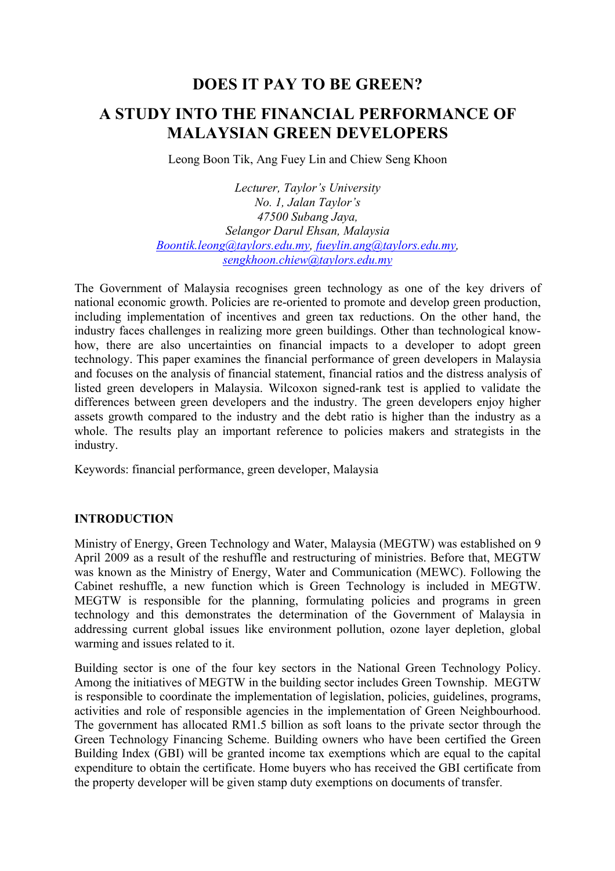## **DOES IT PAY TO BE GREEN?**

# **A STUDY INTO THE FINANCIAL PERFORMANCE OF MALAYSIAN GREEN DEVELOPERS**

Leong Boon Tik, Ang Fuey Lin and Chiew Seng Khoon

*Lecturer, Taylor's University No. 1, Jalan Taylor's 47500 Subang Jaya, Selangor Darul Ehsan, Malaysia Boontik.leong@taylors.edu.my, fueylin.ang@taylors.edu.my, sengkhoon.chiew@taylors.edu.my*

The Government of Malaysia recognises green technology as one of the key drivers of national economic growth. Policies are re-oriented to promote and develop green production, including implementation of incentives and green tax reductions. On the other hand, the industry faces challenges in realizing more green buildings. Other than technological knowhow, there are also uncertainties on financial impacts to a developer to adopt green technology. This paper examines the financial performance of green developers in Malaysia and focuses on the analysis of financial statement, financial ratios and the distress analysis of listed green developers in Malaysia. Wilcoxon signed-rank test is applied to validate the differences between green developers and the industry. The green developers enjoy higher assets growth compared to the industry and the debt ratio is higher than the industry as a whole. The results play an important reference to policies makers and strategists in the industry.

Keywords: financial performance, green developer, Malaysia

#### **INTRODUCTION**

Ministry of Energy, Green Technology and Water, Malaysia (MEGTW) was established on 9 April 2009 as a result of the reshuffle and restructuring of ministries. Before that, MEGTW was known as the Ministry of Energy, Water and Communication (MEWC). Following the Cabinet reshuffle, a new function which is Green Technology is included in MEGTW. MEGTW is responsible for the planning, formulating policies and programs in green technology and this demonstrates the determination of the Government of Malaysia in addressing current global issues like environment pollution, ozone layer depletion, global warming and issues related to it.

Building sector is one of the four key sectors in the National Green Technology Policy. Among the initiatives of MEGTW in the building sector includes Green Township. MEGTW is responsible to coordinate the implementation of legislation, policies, guidelines, programs, activities and role of responsible agencies in the implementation of Green Neighbourhood. The government has allocated RM1.5 billion as soft loans to the private sector through the Green Technology Financing Scheme. Building owners who have been certified the Green Building Index (GBI) will be granted income tax exemptions which are equal to the capital expenditure to obtain the certificate. Home buyers who has received the GBI certificate from the property developer will be given stamp duty exemptions on documents of transfer.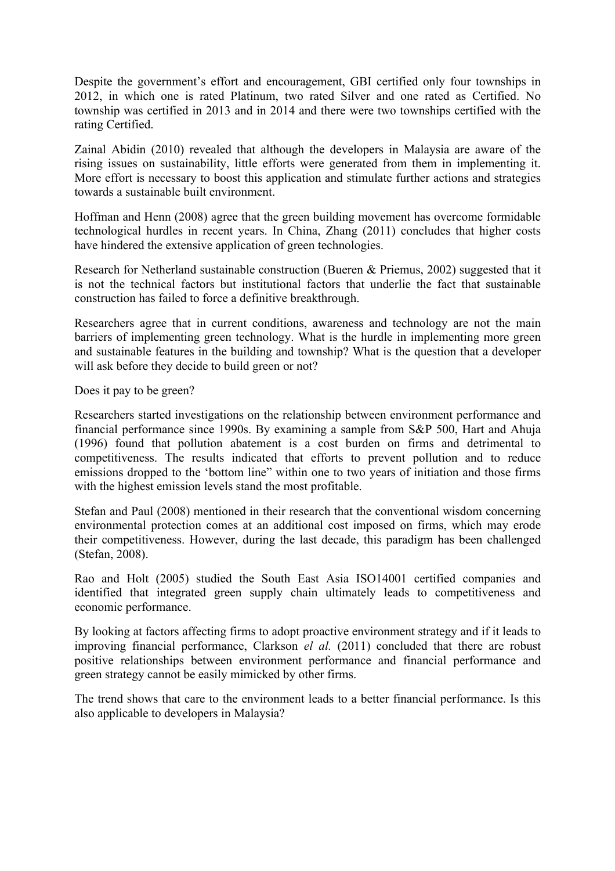Despite the government's effort and encouragement, GBI certified only four townships in 2012, in which one is rated Platinum, two rated Silver and one rated as Certified. No township was certified in 2013 and in 2014 and there were two townships certified with the rating Certified.

Zainal Abidin (2010) revealed that although the developers in Malaysia are aware of the rising issues on sustainability, little efforts were generated from them in implementing it. More effort is necessary to boost this application and stimulate further actions and strategies towards a sustainable built environment.

Hoffman and Henn (2008) agree that the green building movement has overcome formidable technological hurdles in recent years. In China, Zhang (2011) concludes that higher costs have hindered the extensive application of green technologies.

Research for Netherland sustainable construction (Bueren & Priemus, 2002) suggested that it is not the technical factors but institutional factors that underlie the fact that sustainable construction has failed to force a definitive breakthrough.

Researchers agree that in current conditions, awareness and technology are not the main barriers of implementing green technology. What is the hurdle in implementing more green and sustainable features in the building and township? What is the question that a developer will ask before they decide to build green or not?

Does it pay to be green?

Researchers started investigations on the relationship between environment performance and financial performance since 1990s. By examining a sample from S&P 500, Hart and Ahuja (1996) found that pollution abatement is a cost burden on firms and detrimental to competitiveness. The results indicated that efforts to prevent pollution and to reduce emissions dropped to the 'bottom line" within one to two years of initiation and those firms with the highest emission levels stand the most profitable.

Stefan and Paul (2008) mentioned in their research that the conventional wisdom concerning environmental protection comes at an additional cost imposed on firms, which may erode their competitiveness. However, during the last decade, this paradigm has been challenged (Stefan, 2008).

Rao and Holt (2005) studied the South East Asia ISO14001 certified companies and identified that integrated green supply chain ultimately leads to competitiveness and economic performance.

By looking at factors affecting firms to adopt proactive environment strategy and if it leads to improving financial performance, Clarkson *el al.* (2011) concluded that there are robust positive relationships between environment performance and financial performance and green strategy cannot be easily mimicked by other firms.

The trend shows that care to the environment leads to a better financial performance. Is this also applicable to developers in Malaysia?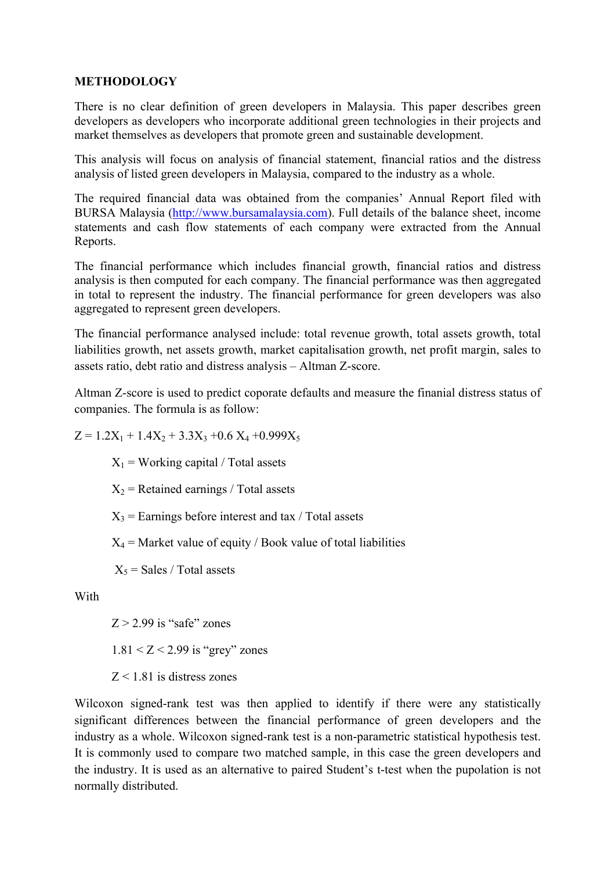#### **METHODOLOGY**

There is no clear definition of green developers in Malaysia. This paper describes green developers as developers who incorporate additional green technologies in their projects and market themselves as developers that promote green and sustainable development.

This analysis will focus on analysis of financial statement, financial ratios and the distress analysis of listed green developers in Malaysia, compared to the industry as a whole.

The required financial data was obtained from the companies' Annual Report filed with BURSA Malaysia (http://www.bursamalaysia.com). Full details of the balance sheet, income statements and cash flow statements of each company were extracted from the Annual Reports.

The financial performance which includes financial growth, financial ratios and distress analysis is then computed for each company. The financial performance was then aggregated in total to represent the industry. The financial performance for green developers was also aggregated to represent green developers.

The financial performance analysed include: total revenue growth, total assets growth, total liabilities growth, net assets growth, market capitalisation growth, net profit margin, sales to assets ratio, debt ratio and distress analysis – Altman Z-score.

Altman Z-score is used to predict coporate defaults and measure the finanial distress status of companies. The formula is as follow:

 $Z = 1.2X_1 + 1.4X_2 + 3.3X_3 + 0.6 X_4 + 0.999X_5$ 

 $X_1$  = Working capital / Total assets

 $X_2$  = Retained earnings / Total assets

 $X_3$  = Earnings before interest and tax / Total assets

 $X_4$  = Market value of equity / Book value of total liabilities

 $X_5$  = Sales / Total assets

With

 $Z > 2.99$  is "safe" zones

 $1.81 < Z < 2.99$  is "grey" zones

 $Z < 1.81$  is distress zones

Wilcoxon signed-rank test was then applied to identify if there were any statistically significant differences between the financial performance of green developers and the industry as a whole. Wilcoxon signed-rank test is a non-parametric statistical hypothesis test. It is commonly used to compare two matched sample, in this case the green developers and the industry. It is used as an alternative to paired Student's t-test when the pupolation is not normally distributed.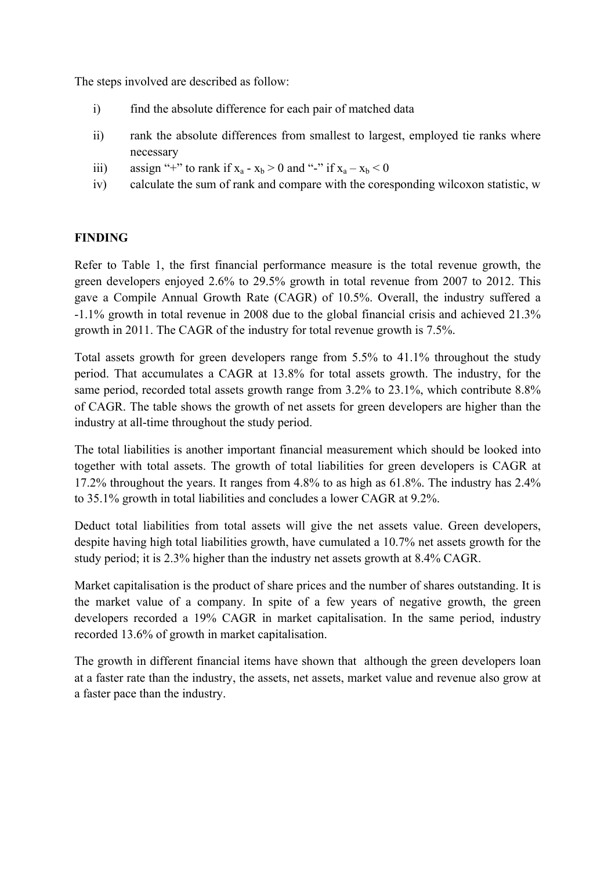The steps involved are described as follow:

- i) find the absolute difference for each pair of matched data
- ii) rank the absolute differences from smallest to largest, employed tie ranks where necessary
- iii) assign "+" to rank if  $x_a x_b > 0$  and "-" if  $x_a x_b < 0$
- iv) calculate the sum of rank and compare with the coresponding wilcoxon statistic, w

#### **FINDING**

Refer to Table 1, the first financial performance measure is the total revenue growth, the green developers enjoyed 2.6% to 29.5% growth in total revenue from 2007 to 2012. This gave a Compile Annual Growth Rate (CAGR) of 10.5%. Overall, the industry suffered a -1.1% growth in total revenue in 2008 due to the global financial crisis and achieved 21.3% growth in 2011. The CAGR of the industry for total revenue growth is 7.5%.

Total assets growth for green developers range from 5.5% to 41.1% throughout the study period. That accumulates a CAGR at 13.8% for total assets growth. The industry, for the same period, recorded total assets growth range from 3.2% to 23.1%, which contribute 8.8% of CAGR. The table shows the growth of net assets for green developers are higher than the industry at all-time throughout the study period.

The total liabilities is another important financial measurement which should be looked into together with total assets. The growth of total liabilities for green developers is CAGR at 17.2% throughout the years. It ranges from 4.8% to as high as 61.8%. The industry has 2.4% to 35.1% growth in total liabilities and concludes a lower CAGR at 9.2%.

Deduct total liabilities from total assets will give the net assets value. Green developers, despite having high total liabilities growth, have cumulated a 10.7% net assets growth for the study period; it is 2.3% higher than the industry net assets growth at 8.4% CAGR.

Market capitalisation is the product of share prices and the number of shares outstanding. It is the market value of a company. In spite of a few years of negative growth, the green developers recorded a 19% CAGR in market capitalisation. In the same period, industry recorded 13.6% of growth in market capitalisation.

The growth in different financial items have shown that although the green developers loan at a faster rate than the industry, the assets, net assets, market value and revenue also grow at a faster pace than the industry.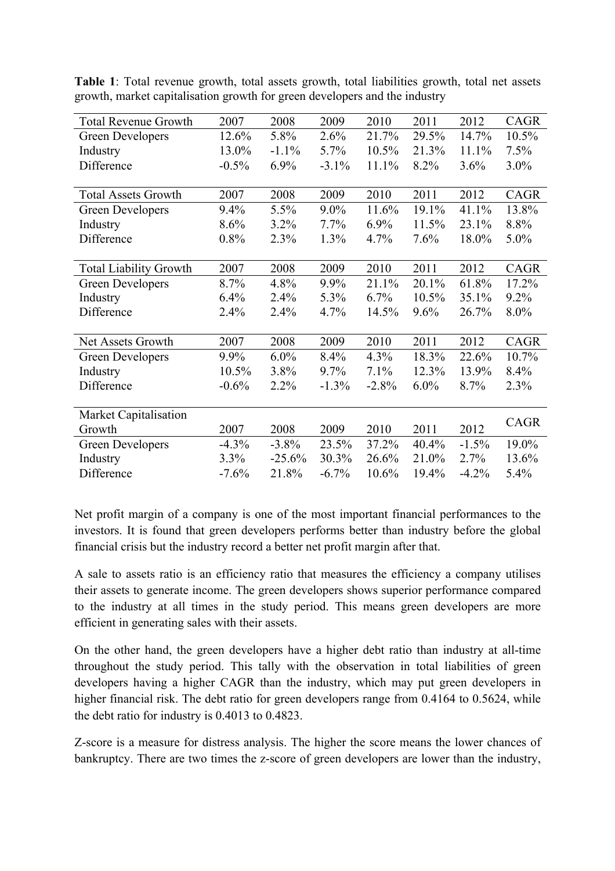| <b>Total Revenue Growth</b>   | 2007     | 2008     | 2009     | 2010    | 2011    | 2012    | CAGR    |
|-------------------------------|----------|----------|----------|---------|---------|---------|---------|
| Green Developers              | 12.6%    | 5.8%     | 2.6%     | 21.7%   | 29.5%   | 14.7%   | 10.5%   |
| Industry                      | 13.0%    | $-1.1%$  | 5.7%     | 10.5%   | 21.3%   | 11.1%   | 7.5%    |
| Difference                    | $-0.5%$  | $6.9\%$  | $-3.1\%$ | 11.1%   | 8.2%    | 3.6%    | $3.0\%$ |
|                               |          |          |          |         |         |         |         |
| <b>Total Assets Growth</b>    | 2007     | 2008     | 2009     | 2010    | 2011    | 2012    | CAGR    |
| <b>Green Developers</b>       | 9.4%     | 5.5%     | 9.0%     | 11.6%   | 19.1%   | 41.1%   | 13.8%   |
| Industry                      | 8.6%     | 3.2%     | 7.7%     | $6.9\%$ | 11.5%   | 23.1%   | 8.8%    |
| Difference                    | 0.8%     | 2.3%     | 1.3%     | 4.7%    | 7.6%    | 18.0%   | $5.0\%$ |
|                               |          |          |          |         |         |         |         |
| <b>Total Liability Growth</b> | 2007     | 2008     | 2009     | 2010    | 2011    | 2012    | CAGR    |
| Green Developers              | 8.7%     | 4.8%     | 9.9%     | 21.1%   | 20.1%   | 61.8%   | 17.2%   |
| Industry                      | 6.4%     | 2.4%     | 5.3%     | $6.7\%$ | 10.5%   | 35.1%   | $9.2\%$ |
| Difference                    | 2.4%     | 2.4%     | 4.7%     | 14.5%   | $9.6\%$ | 26.7%   | $8.0\%$ |
|                               |          |          |          |         |         |         |         |
| Net Assets Growth             | 2007     | 2008     | 2009     | 2010    | 2011    | 2012    | CAGR    |
| Green Developers              | 9.9%     | $6.0\%$  | 8.4%     | 4.3%    | 18.3%   | 22.6%   | 10.7%   |
| Industry                      | 10.5%    | $3.8\%$  | 9.7%     | 7.1%    | 12.3%   | 13.9%   | 8.4%    |
| Difference                    | $-0.6%$  | 2.2%     | $-1.3\%$ | $-2.8%$ | $6.0\%$ | 8.7%    | 2.3%    |
|                               |          |          |          |         |         |         |         |
| Market Capitalisation         |          |          |          |         |         |         | CAGR    |
| Growth                        | 2007     | 2008     | 2009     | 2010    | 2011    | 2012    |         |
| Green Developers              | $-4.3\%$ | $-3.8\%$ | 23.5%    | 37.2%   | 40.4%   | $-1.5%$ | 19.0%   |
| Industry                      | 3.3%     | $-25.6%$ | 30.3%    | 26.6%   | 21.0%   | 2.7%    | 13.6%   |
| Difference                    | $-7.6%$  | 21.8%    | $-6.7\%$ | 10.6%   | 19.4%   | $-4.2%$ | 5.4%    |

**Table 1**: Total revenue growth, total assets growth, total liabilities growth, total net assets growth, market capitalisation growth for green developers and the industry

Net profit margin of a company is one of the most important financial performances to the investors. It is found that green developers performs better than industry before the global financial crisis but the industry record a better net profit margin after that.

A sale to assets ratio is an efficiency ratio that measures the efficiency a company utilises their assets to generate income. The green developers shows superior performance compared to the industry at all times in the study period. This means green developers are more efficient in generating sales with their assets.

On the other hand, the green developers have a higher debt ratio than industry at all-time throughout the study period. This tally with the observation in total liabilities of green developers having a higher CAGR than the industry, which may put green developers in higher financial risk. The debt ratio for green developers range from 0.4164 to 0.5624, while the debt ratio for industry is 0.4013 to 0.4823.

Z-score is a measure for distress analysis. The higher the score means the lower chances of bankruptcy. There are two times the z-score of green developers are lower than the industry,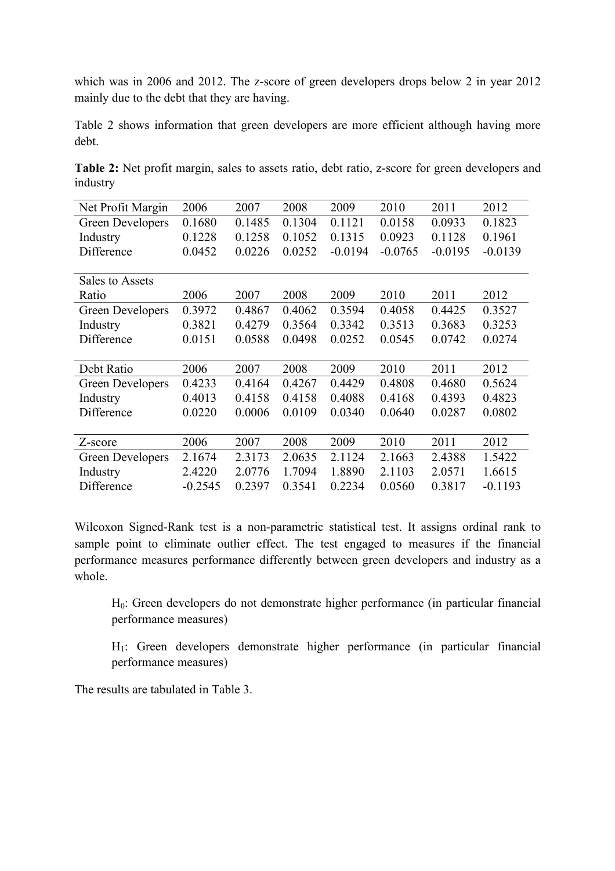which was in 2006 and 2012. The z-score of green developers drops below 2 in year 2012 mainly due to the debt that they are having.

Table 2 shows information that green developers are more efficient although having more debt.

**Table 2:** Net profit margin, sales to assets ratio, debt ratio, z-score for green developers and industry

| Net Profit Margin | 2006      | 2007   | 2008   | 2009      | 2010      | 2011      | 2012      |
|-------------------|-----------|--------|--------|-----------|-----------|-----------|-----------|
| Green Developers  | 0.1680    | 0.1485 | 0.1304 | 0.1121    | 0.0158    | 0.0933    | 0.1823    |
| Industry          | 0.1228    | 0.1258 | 0.1052 | 0.1315    | 0.0923    | 0.1128    | 0.1961    |
| Difference        | 0.0452    | 0.0226 | 0.0252 | $-0.0194$ | $-0.0765$ | $-0.0195$ | $-0.0139$ |
|                   |           |        |        |           |           |           |           |
| Sales to Assets   |           |        |        |           |           |           |           |
| Ratio             | 2006      | 2007   | 2008   | 2009      | 2010      | 2011      | 2012      |
| Green Developers  | 0.3972    | 0.4867 | 0.4062 | 0.3594    | 0.4058    | 0.4425    | 0.3527    |
| Industry          | 0.3821    | 0.4279 | 0.3564 | 0.3342    | 0.3513    | 0.3683    | 0.3253    |
| Difference        | 0.0151    | 0.0588 | 0.0498 | 0.0252    | 0.0545    | 0.0742    | 0.0274    |
|                   |           |        |        |           |           |           |           |
| Debt Ratio        | 2006      | 2007   | 2008   | 2009      | 2010      | 2011      | 2012      |
| Green Developers  | 0.4233    | 0.4164 | 0.4267 | 0.4429    | 0.4808    | 0.4680    | 0.5624    |
| Industry          | 0.4013    | 0.4158 | 0.4158 | 0.4088    | 0.4168    | 0.4393    | 0.4823    |
| Difference        | 0.0220    | 0.0006 | 0.0109 | 0.0340    | 0.0640    | 0.0287    | 0.0802    |
|                   |           |        |        |           |           |           |           |
| Z-score           | 2006      | 2007   | 2008   | 2009      | 2010      | 2011      | 2012      |
| Green Developers  | 2.1674    | 2.3173 | 2.0635 | 2.1124    | 2.1663    | 2.4388    | 1.5422    |
| Industry          | 2.4220    | 2.0776 | 1.7094 | 1.8890    | 2.1103    | 2.0571    | 1.6615    |
| Difference        | $-0.2545$ | 0.2397 | 0.3541 | 0.2234    | 0.0560    | 0.3817    | $-0.1193$ |

Wilcoxon Signed-Rank test is a non-parametric statistical test. It assigns ordinal rank to sample point to eliminate outlier effect. The test engaged to measures if the financial performance measures performance differently between green developers and industry as a whole.

H0: Green developers do not demonstrate higher performance (in particular financial performance measures)

H1: Green developers demonstrate higher performance (in particular financial performance measures)

The results are tabulated in Table 3.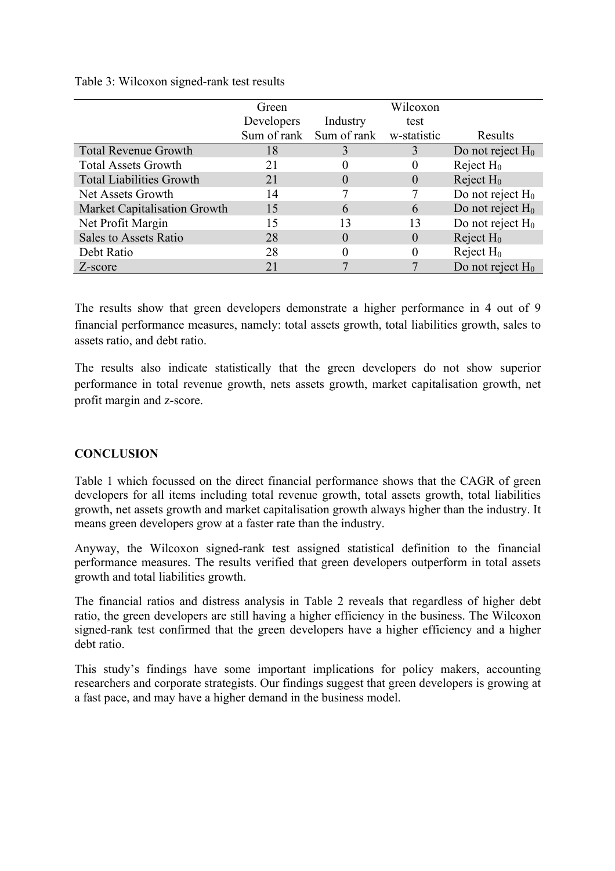#### Table 3: Wilcoxon signed-rank test results

|                                     | Green       |             | Wilcoxon    |                     |
|-------------------------------------|-------------|-------------|-------------|---------------------|
|                                     | Developers  | Industry    | test        |                     |
|                                     | Sum of rank | Sum of rank | w-statistic | Results             |
| <b>Total Revenue Growth</b>         | 18          |             | 3           | Do not reject $H_0$ |
| <b>Total Assets Growth</b>          | 21          |             |             | Reject $H_0$        |
| <b>Total Liabilities Growth</b>     | 21          |             | 0           | Reject $H_0$        |
| Net Assets Growth                   | 14          |             |             | Do not reject $H_0$ |
| <b>Market Capitalisation Growth</b> | 15          | 6           | 6           | Do not reject $H_0$ |
| Net Profit Margin                   | 15          |             | 13          | Do not reject $H_0$ |
| <b>Sales to Assets Ratio</b>        | 28          | 0           | 0           | Reject $H_0$        |
| Debt Ratio                          | 28          |             | 0           | Reject $H_0$        |
| Z-score                             | 21          |             |             | Do not reject $H_0$ |

The results show that green developers demonstrate a higher performance in 4 out of 9 financial performance measures, namely: total assets growth, total liabilities growth, sales to assets ratio, and debt ratio.

The results also indicate statistically that the green developers do not show superior performance in total revenue growth, nets assets growth, market capitalisation growth, net profit margin and z-score.

#### **CONCLUSION**

Table 1 which focussed on the direct financial performance shows that the CAGR of green developers for all items including total revenue growth, total assets growth, total liabilities growth, net assets growth and market capitalisation growth always higher than the industry. It means green developers grow at a faster rate than the industry.

Anyway, the Wilcoxon signed-rank test assigned statistical definition to the financial performance measures. The results verified that green developers outperform in total assets growth and total liabilities growth.

The financial ratios and distress analysis in Table 2 reveals that regardless of higher debt ratio, the green developers are still having a higher efficiency in the business. The Wilcoxon signed-rank test confirmed that the green developers have a higher efficiency and a higher debt ratio.

This study's findings have some important implications for policy makers, accounting researchers and corporate strategists. Our findings suggest that green developers is growing at a fast pace, and may have a higher demand in the business model.